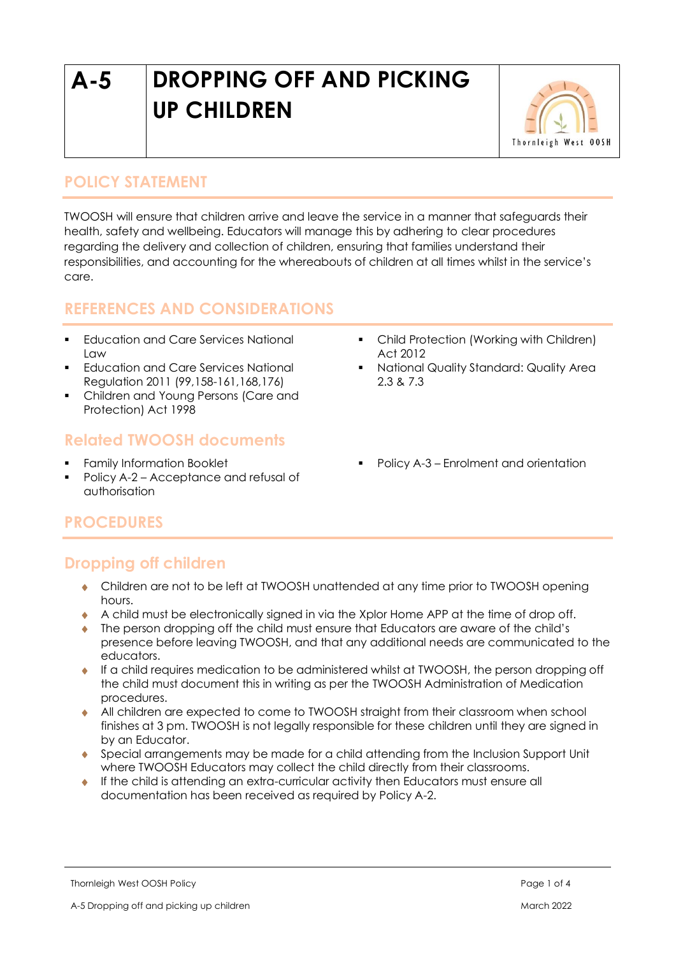# **A-5 DROPPING OFF AND PICKING UP CHILDREN**



## **POLICY STATEMENT**

TWOOSH will ensure that children arrive and leave the service in a manner that safeguards their health, safety and wellbeing. Educators will manage this by adhering to clear procedures regarding the delivery and collection of children, ensuring that families understand their responsibilities, and accounting for the whereabouts of children at all times whilst in the service's care.

## **REFERENCES AND CONSIDERATIONS**

- Education and Care Services National  $LM$
- **•** Education and Care Services National Regulation 2011 (99,158-161,168,176)
- Children and Young Persons (Care and Protection) Act 1998

## **Related TWOOSH documents**

- **Family Information Booklet**
- Policy A-2 Acceptance and refusal of authorisation
- Child Protection (Working with Children) Act 2012
- National Quality Standard: Quality Area 2.3 & 7.3
- Policy A-3 Enrolment and orientation

# **PROCEDURES**

# **Dropping off children**

- Children are not to be left at TWOOSH unattended at any time prior to TWOOSH opening hours.
- A child must be electronically signed in via the Xplor Home APP at the time of drop off.
- The person dropping off the child must ensure that Educators are aware of the child's presence before leaving TWOOSH, and that any additional needs are communicated to the educators.
- If a child requires medication to be administered whilst at TWOOSH, the person dropping off the child must document this in writing as per the TWOOSH Administration of Medication procedures.
- All children are expected to come to TWOOSH straight from their classroom when school finishes at 3 pm. TWOOSH is not legally responsible for these children until they are signed in by an Educator.
- Special arrangements may be made for a child attending from the Inclusion Support Unit where TWOOSH Educators may collect the child directly from their classrooms.
- If the child is attending an extra-curricular activity then Educators must ensure all documentation has been received as required by Policy A-2.

Thornleigh West OOSH Policy Page 1 of 4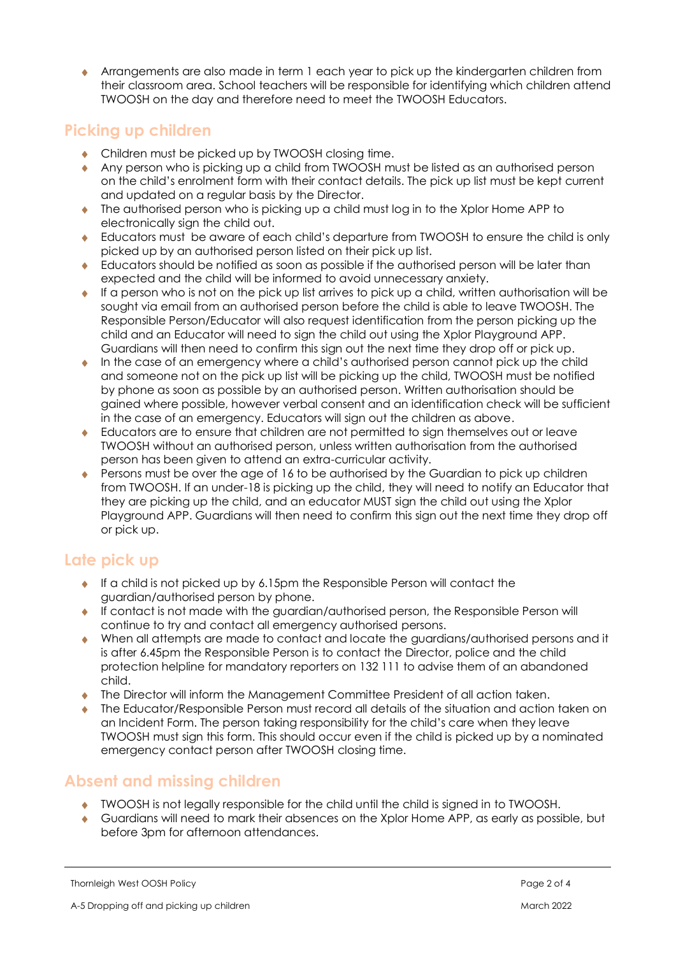Arrangements are also made in term 1 each year to pick up the kindergarten children from their classroom area. School teachers will be responsible for identifying which children attend TWOOSH on the day and therefore need to meet the TWOOSH Educators.

#### **Picking up children**

- ◆ Children must be picked up by TWOOSH closing time.
- Any person who is picking up a child from TWOOSH must be listed as an authorised person on the child's enrolment form with their contact details. The pick up list must be kept current and updated on a regular basis by the Director.
- The authorised person who is picking up a child must log in to the Xplor Home APP to electronically sign the child out.
- Educators must be aware of each child's departure from TWOOSH to ensure the child is only picked up by an authorised person listed on their pick up list.
- Educators should be notified as soon as possible if the authorised person will be later than expected and the child will be informed to avoid unnecessary anxiety.
- If a person who is not on the pick up list arrives to pick up a child, written authorisation will be sought via email from an authorised person before the child is able to leave TWOOSH. The Responsible Person/Educator will also request identification from the person picking up the child and an Educator will need to sign the child out using the Xplor Playground APP. Guardians will then need to confirm this sign out the next time they drop off or pick up.
- $\bullet$  In the case of an emergency where a child's authorised person cannot pick up the child and someone not on the pick up list will be picking up the child, TWOOSH must be notified by phone as soon as possible by an authorised person. Written authorisation should be gained where possible, however verbal consent and an identification check will be sufficient in the case of an emergency. Educators will sign out the children as above.
- Educators are to ensure that children are not permitted to sign themselves out or leave TWOOSH without an authorised person, unless written authorisation from the authorised person has been given to attend an extra-curricular activity.
- ◆ Persons must be over the age of 16 to be authorised by the Guardian to pick up children from TWOOSH. If an under-18 is picking up the child, they will need to notify an Educator that they are picking up the child, and an educator MUST sign the child out using the Xplor Playground APP. Guardians will then need to confirm this sign out the next time they drop off or pick up.

## **Late pick up**

- $\bullet$  If a child is not picked up by 6.15pm the Responsible Person will contact the guardian/authorised person by phone.
- If contact is not made with the guardian/authorised person, the Responsible Person will continue to try and contact all emergency authorised persons.
- When all attempts are made to contact and locate the guardians/authorised persons and it is after 6.45pm the Responsible Person is to contact the Director, police and the child protection helpline for mandatory reporters on 132 111 to advise them of an abandoned child.
- The Director will inform the Management Committee President of all action taken.
- The Educator/Responsible Person must record all details of the situation and action taken on an Incident Form. The person taking responsibility for the child's care when they leave TWOOSH must sign this form. This should occur even if the child is picked up by a nominated emergency contact person after TWOOSH closing time.

#### **Absent and missing children**

- TWOOSH is not legally responsible for the child until the child is signed in to TWOOSH.
- Guardians will need to mark their absences on the Xplor Home APP, as early as possible, but before 3pm for afternoon attendances.

Thornleigh West OOSH Policy **Page 2 of 4**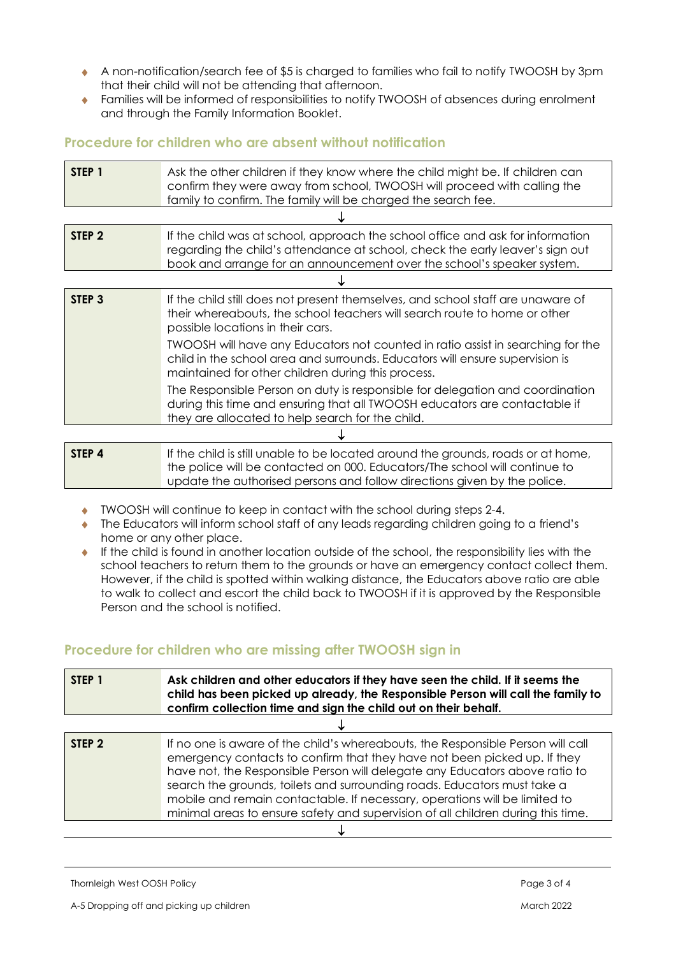- A non-notification/search fee of \$5 is charged to families who fail to notify TWOOSH by 3pm that their child will not be attending that afternoon.
- Families will be informed of responsibilities to notify TWOOSH of absences during enrolment and through the Family Information Booklet.

#### **Procedure for children who are absent without notification**

| STEP 1            | Ask the other children if they know where the child might be. If children can<br>confirm they were away from school, TWOOSH will proceed with calling the<br>family to confirm. The family will be charged the search fee.                                                                                                                                                                                                 |  |  |  |
|-------------------|----------------------------------------------------------------------------------------------------------------------------------------------------------------------------------------------------------------------------------------------------------------------------------------------------------------------------------------------------------------------------------------------------------------------------|--|--|--|
|                   |                                                                                                                                                                                                                                                                                                                                                                                                                            |  |  |  |
| STEP <sub>2</sub> | If the child was at school, approach the school office and ask for information<br>regarding the child's attendance at school, check the early leaver's sign out<br>book and arrange for an announcement over the school's speaker system.                                                                                                                                                                                  |  |  |  |
|                   |                                                                                                                                                                                                                                                                                                                                                                                                                            |  |  |  |
| STEP <sub>3</sub> | If the child still does not present themselves, and school staff are unaware of<br>their whereabouts, the school teachers will search route to home or other<br>possible locations in their cars.<br>TWOOSH will have any Educators not counted in ratio assist in searching for the<br>child in the school area and surrounds. Educators will ensure supervision is<br>maintained for other children during this process. |  |  |  |
|                   | The Responsible Person on duty is responsible for delegation and coordination<br>during this time and ensuring that all TWOOSH educators are contactable if<br>they are allocated to help search for the child.                                                                                                                                                                                                            |  |  |  |
|                   |                                                                                                                                                                                                                                                                                                                                                                                                                            |  |  |  |
| STEP 4            | If the child is still unable to be located around the grounds, roads or at home,<br>the police will be contacted on 000. Educators/The school will continue to                                                                                                                                                                                                                                                             |  |  |  |

- TWOOSH will continue to keep in contact with the school during steps 2-4.
- The Educators will inform school staff of any leads regarding children going to a friend's home or any other place.
- If the child is found in another location outside of the school, the responsibility lies with the school teachers to return them to the grounds or have an emergency contact collect them. However, if the child is spotted within walking distance, the Educators above ratio are able to walk to collect and escort the child back to TWOOSH if it is approved by the Responsible Person and the school is notified.

update the authorised persons and follow directions given by the police.

#### **Procedure for children who are missing after TWOOSH sign in**

| STEP 1            | Ask children and other educators if they have seen the child. If it seems the<br>child has been picked up already, the Responsible Person will call the family to<br>confirm collection time and sign the child out on their behalf.                                                                                                                                                                                                                                                     |  |  |  |
|-------------------|------------------------------------------------------------------------------------------------------------------------------------------------------------------------------------------------------------------------------------------------------------------------------------------------------------------------------------------------------------------------------------------------------------------------------------------------------------------------------------------|--|--|--|
|                   |                                                                                                                                                                                                                                                                                                                                                                                                                                                                                          |  |  |  |
| STEP <sub>2</sub> | If no one is aware of the child's whereabouts, the Responsible Person will call<br>emergency contacts to confirm that they have not been picked up. If they<br>have not, the Responsible Person will delegate any Educators above ratio to<br>search the grounds, toilets and surrounding roads. Educators must take a<br>mobile and remain contactable. If necessary, operations will be limited to<br>minimal areas to ensure safety and supervision of all children during this time. |  |  |  |
|                   |                                                                                                                                                                                                                                                                                                                                                                                                                                                                                          |  |  |  |

Thornleigh West OOSH Policy **Page 3 of 4** and the state of the state of the state of the state of the state of the state of the state of the state of the state of the state of the state of the state of the state of the sta